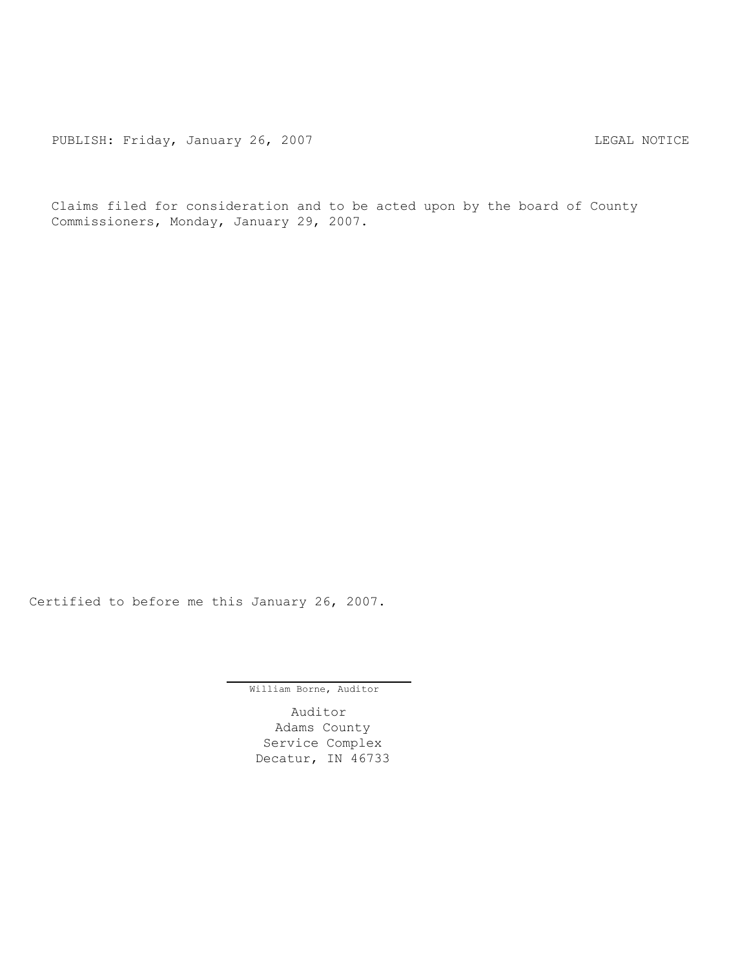PUBLISH: Friday, January 26, 2007 CHA CHANGE CONSTRUCTED MOTICE

Claims filed for consideration and to be acted upon by the board of County Commissioners, Monday, January 29, 2007.

Certified to before me this January 26, 2007.

William Borne, Auditor

Auditor Adams County Service Complex Decatur, IN 46733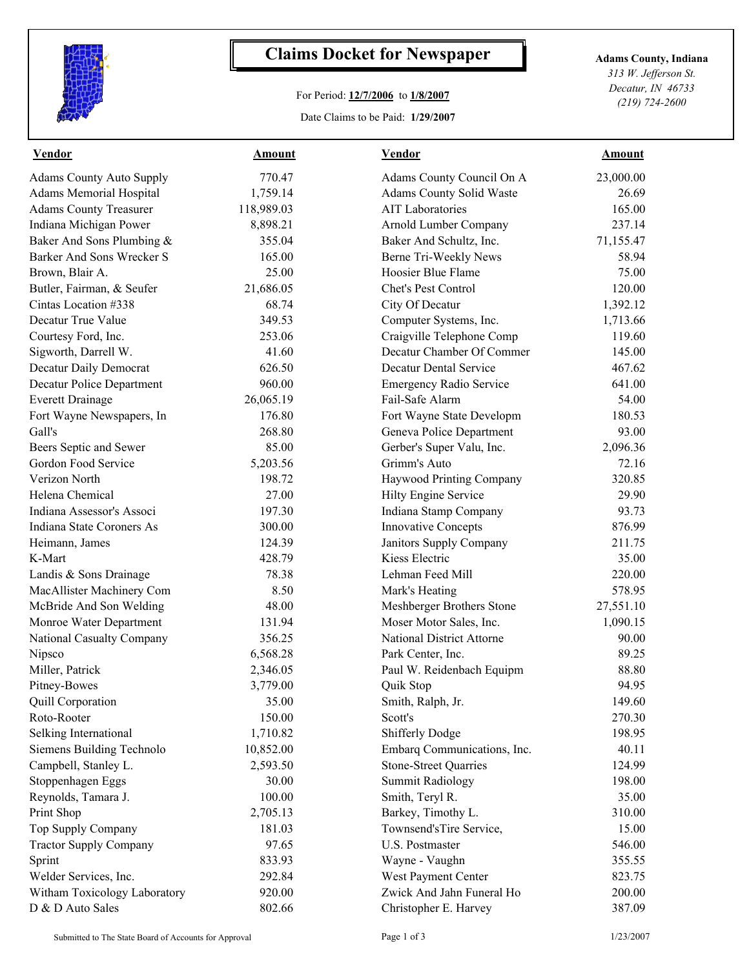

## **Claims Docket for Newspaper Adams County, Indiana**

## For Period: **12/7/2006** to **1/8/2007**

Date Claims to be Paid: **1/29/2007**

*313 W. Jefferson St. Decatur, IN 46733 (219) 724-2600*

| <b>Vendor</b>                   | <b>Amount</b> | <b>Vendor</b>                    | <b>Amount</b> |  |
|---------------------------------|---------------|----------------------------------|---------------|--|
| <b>Adams County Auto Supply</b> | 770.47        | Adams County Council On A        | 23,000.00     |  |
| <b>Adams Memorial Hospital</b>  | 1,759.14      | Adams County Solid Waste         | 26.69         |  |
| <b>Adams County Treasurer</b>   | 118,989.03    | <b>AIT Laboratories</b>          | 165.00        |  |
| Indiana Michigan Power          | 8,898.21      | Arnold Lumber Company            | 237.14        |  |
| Baker And Sons Plumbing &       | 355.04        | Baker And Schultz, Inc.          | 71,155.47     |  |
| Barker And Sons Wrecker S       | 165.00        | Berne Tri-Weekly News            | 58.94         |  |
| Brown, Blair A.                 | 25.00         | Hoosier Blue Flame               | 75.00         |  |
| Butler, Fairman, & Seufer       | 21,686.05     | Chet's Pest Control              | 120.00        |  |
| Cintas Location #338            | 68.74         | City Of Decatur                  | 1,392.12      |  |
| Decatur True Value              | 349.53        | Computer Systems, Inc.           | 1,713.66      |  |
| Courtesy Ford, Inc.             | 253.06        | Craigville Telephone Comp        | 119.60        |  |
| Sigworth, Darrell W.            | 41.60         | Decatur Chamber Of Commer        | 145.00        |  |
| Decatur Daily Democrat          | 626.50        | <b>Decatur Dental Service</b>    | 467.62        |  |
| Decatur Police Department       | 960.00        | <b>Emergency Radio Service</b>   | 641.00        |  |
| <b>Everett Drainage</b>         | 26,065.19     | Fail-Safe Alarm                  | 54.00         |  |
| Fort Wayne Newspapers, In       | 176.80        | Fort Wayne State Developm        | 180.53        |  |
| Gall's                          | 268.80        | Geneva Police Department         | 93.00         |  |
| Beers Septic and Sewer          | 85.00         | Gerber's Super Valu, Inc.        | 2,096.36      |  |
| Gordon Food Service             | 5,203.56      | Grimm's Auto                     | 72.16         |  |
| Verizon North                   | 198.72        | Haywood Printing Company         | 320.85        |  |
| Helena Chemical                 | 27.00         | Hilty Engine Service             | 29.90         |  |
| Indiana Assessor's Associ       | 197.30        | Indiana Stamp Company            | 93.73         |  |
| Indiana State Coroners As       | 300.00        | <b>Innovative Concepts</b>       | 876.99        |  |
| Heimann, James                  | 124.39        | Janitors Supply Company          | 211.75        |  |
| K-Mart                          | 428.79        | Kiess Electric                   | 35.00         |  |
| Landis & Sons Drainage          | 78.38         | Lehman Feed Mill                 | 220.00        |  |
| MacAllister Machinery Com       | 8.50          | Mark's Heating                   | 578.95        |  |
| McBride And Son Welding         | 48.00         | Meshberger Brothers Stone        | 27,551.10     |  |
| Monroe Water Department         | 131.94        | Moser Motor Sales, Inc.          | 1,090.15      |  |
| National Casualty Company       | 356.25        | <b>National District Attorne</b> | 90.00         |  |
| Nipsco                          | 6,568.28      | Park Center, Inc.                | 89.25         |  |
| Miller, Patrick                 | 2,346.05      | Paul W. Reidenbach Equipm        | 88.80         |  |
| Pitney-Bowes                    | 3,779.00      | Quik Stop                        | 94.95         |  |
| Quill Corporation               | 35.00         | Smith, Ralph, Jr.                | 149.60        |  |
| Roto-Rooter                     | 150.00        | Scott's                          | 270.30        |  |
| Selking International           | 1,710.82      | <b>Shifferly Dodge</b>           | 198.95        |  |
| Siemens Building Technolo       | 10,852.00     | Embarq Communications, Inc.      | 40.11         |  |
| Campbell, Stanley L.            | 2,593.50      | <b>Stone-Street Quarries</b>     | 124.99        |  |
| Stoppenhagen Eggs               | 30.00         | <b>Summit Radiology</b>          | 198.00        |  |
| Reynolds, Tamara J.             | 100.00        | Smith, Teryl R.                  | 35.00         |  |
| Print Shop                      | 2,705.13      | Barkey, Timothy L.               | 310.00        |  |
| Top Supply Company              | 181.03        | Townsend'sTire Service,          | 15.00         |  |
| <b>Tractor Supply Company</b>   | 97.65         | U.S. Postmaster                  | 546.00        |  |
| Sprint                          | 833.93        | Wayne - Vaughn                   | 355.55        |  |
| Welder Services, Inc.           | 292.84        | West Payment Center              | 823.75        |  |
| Witham Toxicology Laboratory    | 920.00        | Zwick And Jahn Funeral Ho        | 200.00        |  |
| D & D Auto Sales                | 802.66        | Christopher E. Harvey            | 387.09        |  |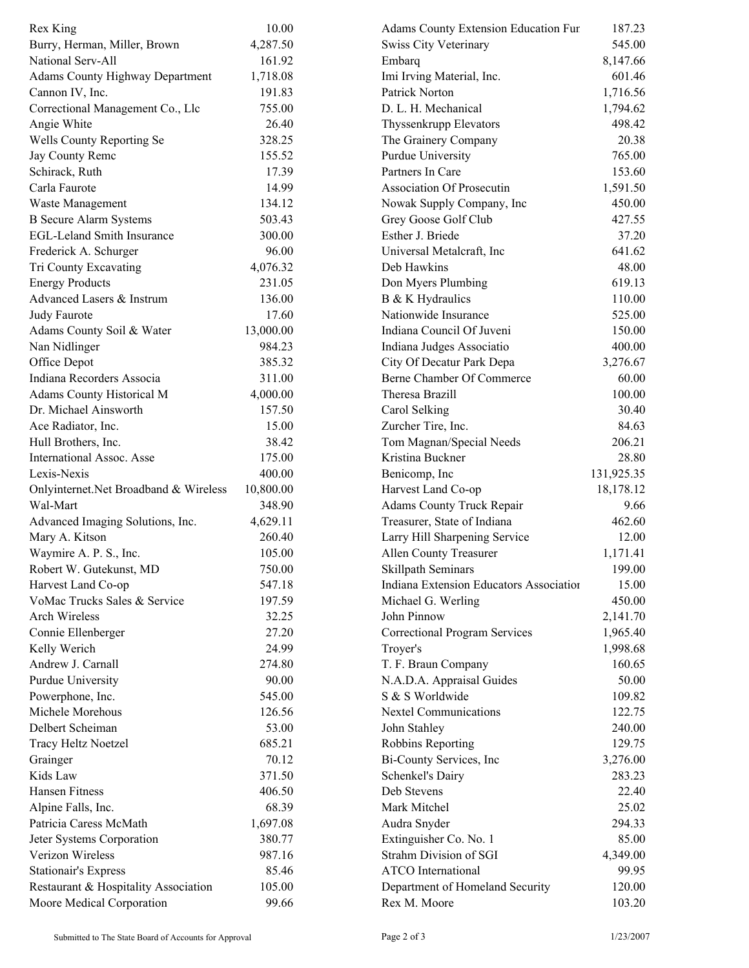| Rex King                                          | 10.00               | <b>Adams County Extension Education Fur</b>  | 187.23            |  |
|---------------------------------------------------|---------------------|----------------------------------------------|-------------------|--|
| Burry, Herman, Miller, Brown                      | 4,287.50            | <b>Swiss City Veterinary</b>                 | 545.00            |  |
| National Serv-All                                 | 161.92              | Embarq                                       | 8,147.66          |  |
| <b>Adams County Highway Department</b>            | 1,718.08            | Imi Irving Material, Inc.                    | 601.46            |  |
| Cannon IV, Inc.                                   | 191.83              | Patrick Norton                               | 1,716.56          |  |
| Correctional Management Co., Llc                  | 755.00              | D. L. H. Mechanical                          | 1,794.62          |  |
| Angie White                                       | 26.40               | Thyssenkrupp Elevators                       | 498.42            |  |
| Wells County Reporting Se                         | 328.25              | The Grainery Company                         | 20.38             |  |
| Jay County Remc                                   | 155.52              | Purdue University                            | 765.00            |  |
| Schirack, Ruth                                    | 17.39               | Partners In Care                             | 153.60            |  |
| Carla Faurote                                     | 14.99               | <b>Association Of Prosecutin</b>             | 1,591.50          |  |
| Waste Management                                  | 134.12              | Nowak Supply Company, Inc                    | 450.00            |  |
| <b>B</b> Secure Alarm Systems                     | 503.43              | Grey Goose Golf Club                         | 427.55            |  |
| <b>EGL-Leland Smith Insurance</b>                 | 300.00              | Esther J. Briede                             | 37.20             |  |
| Frederick A. Schurger                             | 96.00               | Universal Metalcraft, Inc                    | 641.62            |  |
| Tri County Excavating                             | 4,076.32            | Deb Hawkins                                  | 48.00             |  |
| <b>Energy Products</b>                            | 231.05              | Don Myers Plumbing                           | 619.13            |  |
| Advanced Lasers & Instrum                         | 136.00              | B & K Hydraulics                             | 110.00            |  |
| Judy Faurote                                      | 17.60               | Nationwide Insurance                         | 525.00            |  |
| Adams County Soil & Water                         | 13,000.00           | Indiana Council Of Juveni                    | 150.00            |  |
| Nan Nidlinger                                     | 984.23              | Indiana Judges Associatio                    | 400.00            |  |
| Office Depot                                      | 385.32              | City Of Decatur Park Depa                    | 3,276.67          |  |
| Indiana Recorders Associa                         | 311.00              | Berne Chamber Of Commerce                    | 60.00             |  |
| Adams County Historical M                         | 4,000.00            | Theresa Brazill                              | 100.00            |  |
| Dr. Michael Ainsworth                             | 157.50              | Carol Selking                                | 30.40             |  |
| Ace Radiator, Inc.                                | 15.00               | Zurcher Tire, Inc.                           | 84.63             |  |
|                                                   | 38.42               |                                              | 206.21            |  |
| Hull Brothers, Inc.<br>International Assoc. Asse  | 175.00              | Tom Magnan/Special Needs<br>Kristina Buckner | 28.80             |  |
|                                                   |                     |                                              |                   |  |
| Lexis-Nexis                                       | 400.00              | Benicomp, Inc                                | 131,925.35        |  |
| Onlyinternet.Net Broadband & Wireless<br>Wal-Mart | 10,800.00<br>348.90 | Harvest Land Co-op                           | 18,178.12<br>9.66 |  |
|                                                   |                     | Adams County Truck Repair                    |                   |  |
| Advanced Imaging Solutions, Inc.                  | 4,629.11            | Treasurer, State of Indiana                  | 462.60<br>12.00   |  |
| Mary A. Kitson                                    | 260.40              | Larry Hill Sharpening Service                |                   |  |
| Waymire A. P. S., Inc.                            | 105.00              | <b>Allen County Treasurer</b>                | 1,171.41          |  |
| Robert W. Gutekunst, MD                           | 750.00              | Skillpath Seminars                           | 199.00            |  |
| Harvest Land Co-op                                | 547.18              | Indiana Extension Educators Association      | 15.00             |  |
| VoMac Trucks Sales & Service                      | 197.59              | Michael G. Werling                           | 450.00            |  |
| <b>Arch Wireless</b>                              | 32.25               | John Pinnow                                  | 2,141.70          |  |
| Connie Ellenberger                                | 27.20               | <b>Correctional Program Services</b>         | 1,965.40          |  |
| Kelly Werich                                      | 24.99               | Troyer's                                     | 1,998.68          |  |
| Andrew J. Carnall                                 | 274.80              | T. F. Braun Company                          | 160.65            |  |
| <b>Purdue University</b>                          | 90.00               | N.A.D.A. Appraisal Guides                    | 50.00             |  |
| Powerphone, Inc.                                  | 545.00              | S & S Worldwide                              | 109.82            |  |
| Michele Morehous                                  | 126.56              | <b>Nextel Communications</b>                 | 122.75            |  |
| Delbert Scheiman                                  | 53.00               | John Stahley                                 | 240.00            |  |
| Tracy Heltz Noetzel                               | 685.21              | Robbins Reporting                            | 129.75            |  |
| Grainger                                          | 70.12               | Bi-County Services, Inc                      | 3,276.00          |  |
| Kids Law                                          | 371.50              | Schenkel's Dairy                             | 283.23            |  |
| Hansen Fitness                                    | 406.50              | Deb Stevens                                  | 22.40             |  |
| Alpine Falls, Inc.                                | 68.39               | Mark Mitchel                                 | 25.02             |  |
| Patricia Caress McMath                            | 1,697.08            | Audra Snyder                                 | 294.33            |  |
| Jeter Systems Corporation                         | 380.77              | Extinguisher Co. No. 1                       | 85.00             |  |
| Verizon Wireless                                  | 987.16              | Strahm Division of SGI                       | 4,349.00          |  |
| <b>Stationair's Express</b>                       | 85.46               | <b>ATCO</b> International                    | 99.95             |  |
| Restaurant & Hospitality Association              | 105.00              | Department of Homeland Security              | 120.00            |  |
| Moore Medical Corporation                         | 99.66               | Rex M. Moore                                 | 103.20            |  |